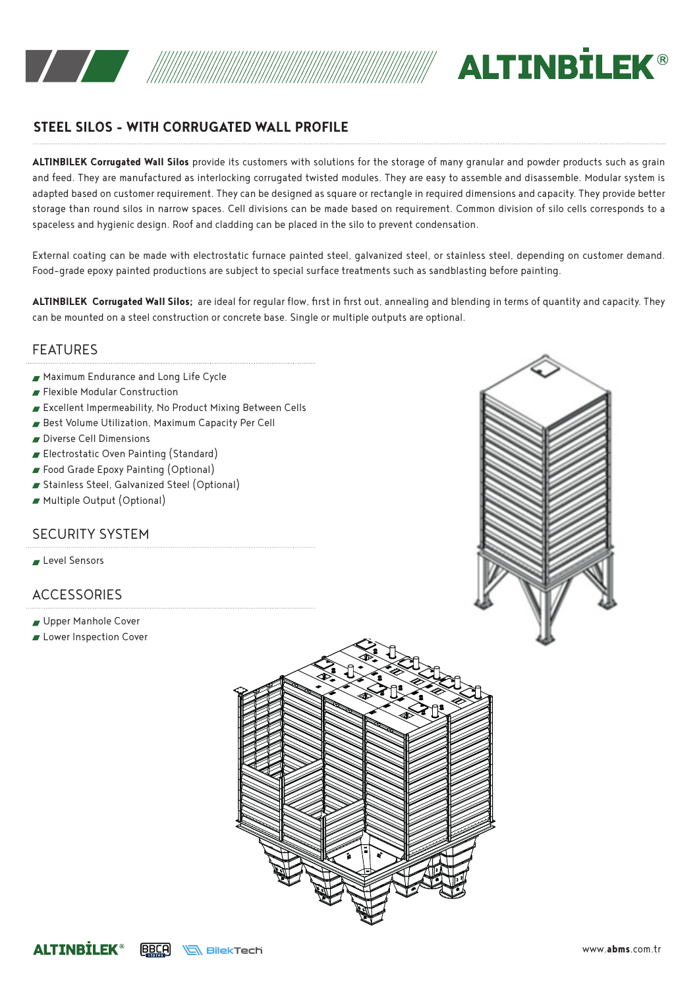



# **STEEL SILOS - WITH CORRUGATED WALL PROFILE**

**ALTINBILEK Corrugated Wall Silos** provide its customers with solutions for the storage of many granular and powder products such as grain and feed. They are manufactured as interlocking corrugated twisted modules. They are easy to assemble and disassemble. Modular system is adapted based on customer requirement. They can be designed as square or rectangle in required dimensions and capacity. They provide better storage than round silos in narrow spaces. Cell divisions can be made based on requirement. Common division of silo cells corresponds to a spaceless and hygienic design. Roof and cladding can be placed in the silo to prevent condensation.

External coating can be made with electrostatic furnace painted steel, galvanized steel, or stainless steel, depending on customer demand. Food-grade epoxy painted productions are subject to special surface treatments such as sandblasting before painting.

**ALTINBILEK Corrugated Wall Silos;** are ideal for regular flow, first in first out, annealing and blending in terms of quantity and capacity. They can be mounted on a steel construction or concrete base. Single or multiple outputs are optional.

### FEATURES

- Maximum Endurance and Long Life Cycle
- Flexible Modular Construction
- Excellent Impermeability, No Product Mixing Between Cells
- Best Volume Utilization, Maximum Capacity Per Cell
- Diverse Cell Dimensions
- Electrostatic Oven Painting (Standard)
- Food Grade Epoxy Painting (Optional)
- Stainless Steel, Galvanized Steel (Optional)
- Multiple Output (Optional)

#### SECURITY SYSTEM

Level Sensors

## ACCESSORIES

- Upper Manhole Cover
- **Lower Inspection Cover**